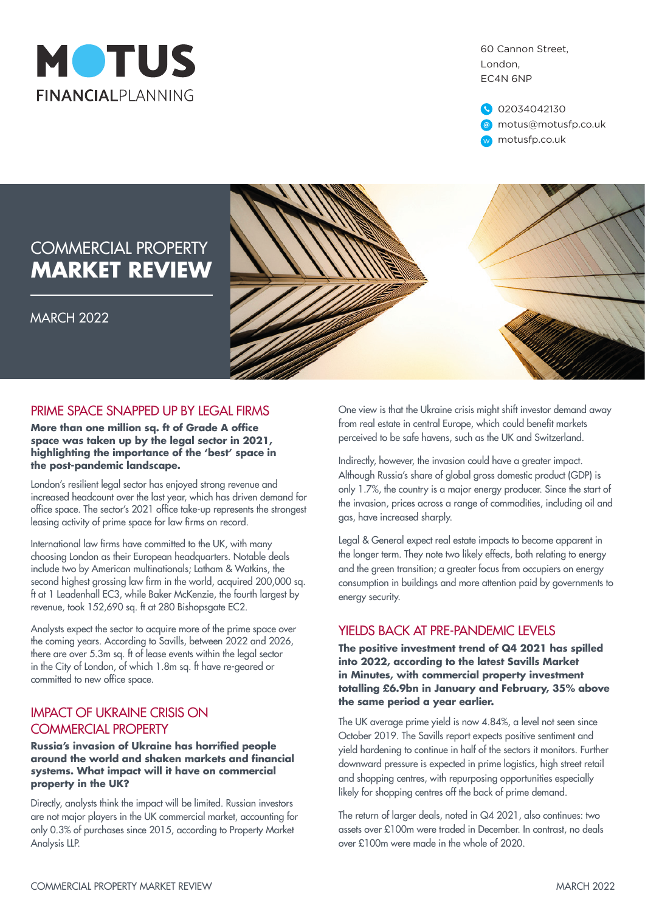

60 Cannon Street, London, EC4N 6NP

02034042130 motus@motusfp.co.uk w motusfp.co.uk

# COMMERCIAL PROPERTY **MARKET REVIEW**

MARCH 2022



#### PRIME SPACE SNAPPED UP BY LEGAL FIRMS

**More than one million sq. ft of Grade A office space was taken up by the legal sector in 2021, highlighting the importance of the 'best' space in the post-pandemic landscape.**

London's resilient legal sector has enjoyed strong revenue and increased headcount over the last year, which has driven demand for office space. The sector's 2021 office take-up represents the strongest leasing activity of prime space for law firms on record.

International law firms have committed to the UK, with many choosing London as their European headquarters. Notable deals include two by American multinationals; Latham & Watkins, the second highest grossing law firm in the world, acquired 200,000 sq. ft at 1 Leadenhall EC3, while Baker McKenzie, the fourth largest by revenue, took 152,690 sq. ft at 280 Bishopsgate EC2.

Analysts expect the sector to acquire more of the prime space over the coming years. According to Savills, between 2022 and 2026, there are over 5.3m sq. ft of lease events within the legal sector in the City of London, of which 1.8m sq. ft have re-geared or committed to new office space.

#### IMPACT OF UKRAINE CRISIS ON COMMERCIAL PROPERTY

**Russia's invasion of Ukraine has horrified people around the world and shaken markets and financial systems. What impact will it have on commercial property in the UK?**

Directly, analysts think the impact will be limited. Russian investors are not major players in the UK commercial market, accounting for only 0.3% of purchases since 2015, according to Property Market Analysis LLP.

One view is that the Ukraine crisis might shift investor demand away from real estate in central Europe, which could benefit markets perceived to be safe havens, such as the UK and Switzerland.

Indirectly, however, the invasion could have a greater impact. Although Russia's share of global gross domestic product (GDP) is only 1.7%, the country is a major energy producer. Since the start of the invasion, prices across a range of commodities, including oil and gas, have increased sharply.

Legal & General expect real estate impacts to become apparent in the longer term. They note two likely effects, both relating to energy and the green transition; a greater focus from occupiers on energy consumption in buildings and more attention paid by governments to energy security.

#### YIELDS BACK AT PRE-PANDEMIC LEVELS

**The positive investment trend of Q4 2021 has spilled into 2022, according to the latest Savills Market in Minutes, with commercial property investment totalling £6.9bn in January and February, 35% above the same period a year earlier.** 

The UK average prime yield is now 4.84%, a level not seen since October 2019. The Savills report expects positive sentiment and yield hardening to continue in half of the sectors it monitors. Further downward pressure is expected in prime logistics, high street retail and shopping centres, with repurposing opportunities especially likely for shopping centres off the back of prime demand.

The return of larger deals, noted in Q4 2021, also continues: two assets over £100m were traded in December. In contrast, no deals over £100m were made in the whole of 2020.